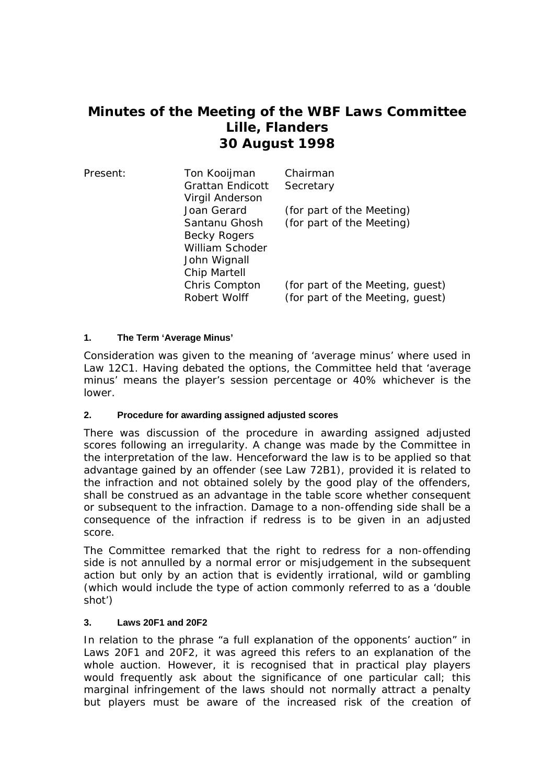# **Minutes of the Meeting of the WBF Laws Committee Lille, Flanders 30 August 1998**

| Present: | Ton Kooijman<br><b>Grattan Endicott</b><br>Virgil Anderson                       | Chairman<br>Secretary                                                |
|----------|----------------------------------------------------------------------------------|----------------------------------------------------------------------|
|          | Joan Gerard                                                                      | (for part of the Meeting)                                            |
|          | Santanu Ghosh<br>Becky Rogers<br>William Schoder<br>John Wignall<br>Chip Martell | (for part of the Meeting)                                            |
|          | Chris Compton<br>Robert Wolff                                                    | (for part of the Meeting, guest)<br>(for part of the Meeting, quest) |

## **1. The Term 'Average Minus'**

Consideration was given to the meaning of 'average minus' where used in Law 12C1. Having debated the options, the Committee held that 'average minus' means the player's session percentage or 40% whichever is the lower.

#### **2. Procedure for awarding assigned adjusted scores**

There was discussion of the procedure in awarding assigned adjusted scores following an irregularity. A change was made by the Committee in the interpretation of the law. Henceforward the law is to be applied so that advantage gained by an offender (see Law 72B1), provided it is related to the infraction and not obtained solely by the good play of the offenders, shall be construed as an advantage in the table score whether consequent or subsequent to the infraction. Damage to a non-offending side shall be a consequence of the infraction if redress is to be given in an adjusted score.

The Committee remarked that the right to redress for a non-offending side is not annulled by a normal error or misjudgement in the subsequent action but only by an action that is evidently irrational, wild or gambling (which would include the type of action commonly referred to as a 'double shot')

#### **3. Laws 20F1 and 20F2**

In relation to the phrase "a full explanation of the opponents' auction" in Laws 20F1 and 20F2, it was agreed this refers to an explanation of the whole auction. However, it is recognised that in practical play players would frequently ask about the significance of one particular call; this marginal infringement of the laws should not normally attract a penalty but players must be aware of the increased risk of the creation of